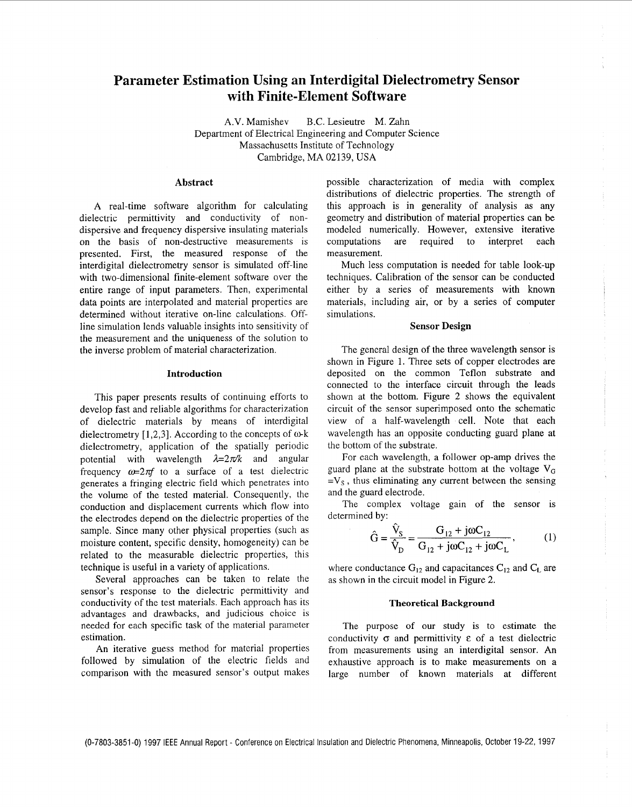# **Parameter Estimation Using an Interdigital Dielectrometry Sensor with Finite-Element Software**

A.V. Mamishev B.C. Lesieutre M. Zahn Department of Electrical Engineering and Computer Science Massachusetts Institute of Technology Cambridge, MA 02139, USA

#### **Abstract**

A real-time software algorithm for calculating dielectric permittivity and conductivity of nondispersive and frequency dispersive insulating materials on the basis of non-destructive measurements is presented. First, the measured response of the interdigital dielectrometry sensor is simulated off-line with two-dimensional finite-element software over the entire range of input parameters. Then, experimental data points are interpolated and material properties are determined without iterative on-line calculations. Offline simulation lends valuable insights into sensitivity of the measurement and the uniqueness of the solution to the inverse problem of material characterization.

# **Introduction**

This paper presents results of continuing efforts to develop fast and reliable algorithms for characterization of dielectric materials by means of interdigital dielectrometry [1,2,3]. According to the concepts of  $\omega$ -k dielectrometry, application of the spatially periodic potential with wavelength  $\lambda=2\pi/k$  and angular frequency  $\omega=2\pi f$  to a surface of a test dielectric generates a fringing electric field which penetrates into the volume of the tested material. Consequently, the conduction and displacement currents which flow into the electrodes depend on the dielectric properties of the sample. Since many other physical properties (such as moisture content, specific density, homogeneity) can be related to the measurable dielectric properties, this technique is useful in a variety of applications.

Several approaches can be taken to relate the sensor's response to the dielectric permittivity and conductivity of the test materials. Each approach has its advantages and drawbacks, and judicious choice is needed for each specific task of the material parameter estimation.

An iterative guess method for material properties followed by simulation of the electric fields and comparison with the measured sensor's output makes possible characterization of media with complex distributions of dielectric properties. The strength of this approach is in generality of analysis as any geometry and distribution of material properties can be modeled numerically. However, extensive iterative computations are required to interpret each measurement.

Much less computation is needed for table look-up techniques. Calibration of the sensor can be conducted either by a series of measurements with known materials, including air, or by a series of computer simulations.

#### **Sensor Design**

The general design of the three wavelength sensor is shown in Figure 1. Three sets of copper electrodes are deposited on the common Teflon substrate and connected to the interface circuit through the leads shown at the bottom. [Figure 2](#page-1-0) shows the equivalent circuit of the sensor superimposed onto the schematic view of a half-wavelength cell. Note that each wavelength has an opposite conducting guard plane at the bottom of the substrate.

For each wavelength, a follower op-amp drives the guard plane at the substrate bottom at the voltage  $V_G$  $=V_s$ , thus eliminating any current between the sensing and the guard electrode.

The complex voltage gain of the sensor is determined by:

$$
\hat{G} = \frac{\hat{V}_{S}}{\hat{V}_{D}} = \frac{G_{12} + j\omega C_{12}}{G_{12} + j\omega C_{12} + j\omega C_{L}},
$$
 (1)

where conductance  $G_{12}$  and capacitances  $C_{12}$  and  $C_L$  are as shown in the circuit model in [Figure](#page-1-0) **2.** 

## **Theoretical Background**

The purpose of our study is to estimate the conductivity  $\sigma$  and permittivity  $\varepsilon$  of a test dielectric from measurements using an interdigital sensor. An exhaustive approach is to make measurements on a large number of known materials at different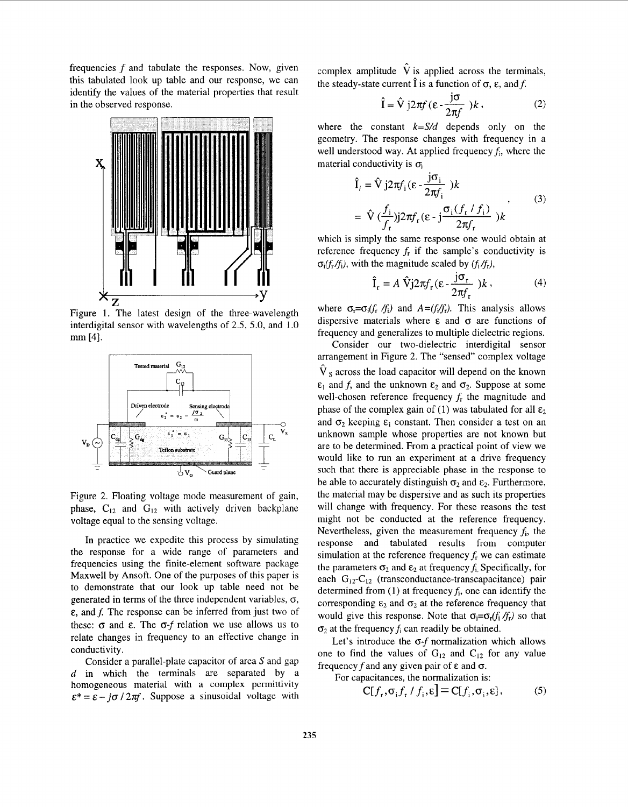<span id="page-1-0"></span>frequencies *f* and tabulate the responses. Now, given this tabulated look up table and our response, we can identify the values of the material properties that result in the observed response.



Figure 1. The latest design of the three-wavelength interdigital sensor with wavelengths of *2.5,* 5.0, and 1.0 mm [4].



Figure 2. Floating voltage mode measurement of gain, phase,  $C_{12}$  and  $G_{12}$  with actively driven backplane voltage equal to the sensing voltage.

In practice we expedite this process by simulating the response for a wide range of parameters and frequencies using the finite-element software package Maxwell by Ansoft. One of the purposes of this paper is to demonstrate that our look up table need not be generated in terms of the three independent variables,  $\sigma$ ,  $\epsilon$ , and f. The response can be inferred from just two of these:  $\sigma$  and  $\varepsilon$ . The  $\sigma$ -f relation we use allows us to relate changes in frequency to an effective change in conductivity.

Consider a parallel-plate capacitor of area S and gap d in which the terminals are separated by a homogeneous material with a complex permittivity  $\epsilon^* = \epsilon - i\sigma / 2\pi f$ . Suppose a sinusoidal voltage with

complex amplitude  $\hat{V}$  is applied across the terminals, the steady-state current  $\hat{\mathbf{l}}$  is a function of  $\sigma$ ,  $\epsilon$ , and f.

$$
\hat{\mathbf{I}} = \hat{\mathbf{V}} \, j2\pi f \, (\boldsymbol{\varepsilon} - \frac{j\sigma}{2\pi f}) \, k \,, \tag{2}
$$

where the constant *k=S/d* depends only on the geometry. The response changes with frequency in a well understood way. At applied frequency  $f_i$ , where the material conductivity is  $\sigma_i$ 

$$
\hat{\mathbf{I}}_i = \hat{\mathbf{V}} j2\pi f_i (\varepsilon - \frac{j\sigma_i}{2\pi f_i})k
$$
\n
$$
= \hat{\mathbf{V}} \left( \frac{f_i}{f_r} \right) j2\pi f_r (\varepsilon - j \frac{\sigma_i (f_r / f_i)}{2\pi f_r}) k
$$
\n(3)

which is simply the same response one would obtain at reference frequency  $f<sub>r</sub>$  if the sample's conductivity is  $\sigma_i(f_r/f_i)$ , with the magnitude scaled by  $(f_i/f_r)$ ,

$$
\hat{\mathbf{I}}_{\mathbf{r}} = A \hat{\mathbf{V}} \mathbf{j} 2\pi f_{\mathbf{r}} (\varepsilon - \frac{\mathbf{J} \sigma_{\mathbf{r}}}{2\pi f_{\mathbf{r}}} ) k , \qquad (4)
$$

where  $\sigma_r = \sigma_i(f_r / f_i)$  and  $A = (f_r / f_r)$ . This analysis allows dispersive materials where **E** and *0* are functions of frequency and generalizes to multiple dielectric regions.

Consider our two-dielectric interdigital sensor arrangement in Figure *2.* The "sensed" complex voltage  $\hat{V}_s$  across the load capacitor will depend on the known and *f*, and the unknown  $\varepsilon_2$  and  $\sigma_2$ . Suppose at some well-chosen reference frequency *fr* the magnitude and phase of the complex gain of (1) was tabulated for all  $\varepsilon_2$ and  $\sigma_2$  keeping  $\varepsilon_1$  constant. Then consider a test on an unknown sample whose properties are not known but are to be determined. From a practicai point of view we would like to run an experiment at a drive frequency such that there is appreciable phase in the response to be able to accurately distinguish  $\sigma_2$  and  $\varepsilon_2$ . Furthermore, the material may be dispersive and as such its properties will change with frequency. For these reasons the test might not be conducted at the reference frequency. Nevertheless, given the measurement frequency  $f_i$ , the response and tabulated results from computer simulation at the reference frequency  $f_r$  we can estimate the parameters  $\sigma_2$  and  $\varepsilon_2$  at frequency  $f_i$ , Specifically, for each G<sub>12</sub>-C<sub>12</sub> (transconductance-transcapacitance) pair determined from (1) at frequency  $f_i$ , one can identify the corresponding  $\varepsilon_2$  and  $\sigma_2$  at the reference frequency that would give this response. Note that  $\sigma_i = \sigma_r(f_i/f_r)$  so that  $\sigma_2$  at the frequency  $f_i$  can readily be obtained.

Let's introduce the *0-f* normalization which allows one to find the values of  $G_{12}$  and  $C_{12}$  for any value frequency f and any given pair of  $\varepsilon$  and  $\sigma$ .

For capacitances, the normalization is:

$$
C[f_r, \sigma_i f_r / f_i, \varepsilon] = C[f_i, \sigma_i, \varepsilon],
$$
 (5)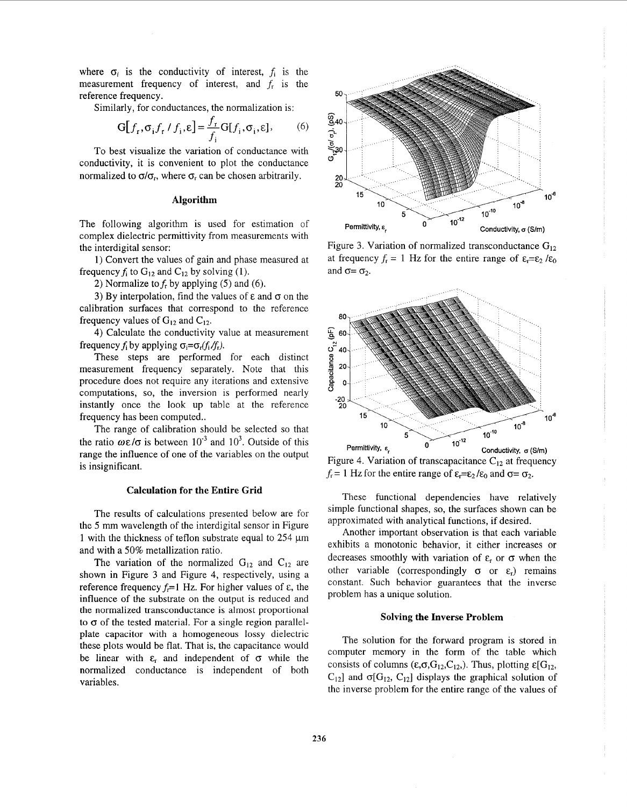where  $\sigma_i$  is the conductivity of interest,  $f_i$  is the measurement frequency of interest, and *fr* is the reference frequency.

Similarly, for conductances, the normalization is:

$$
G[f_r, \sigma_i f_r / f_i, \varepsilon] = \frac{f_r}{f_i} G[f_i, \sigma_i, \varepsilon],\tag{6}
$$

To best visualize the variation of conductance with conductivity, it is convenient to plot the conductance normalized to  $\sigma/\sigma_r$ , where  $\sigma_r$  can be chosen arbitrarily.

# **Algorithm**

The following algorithm is used for estimation of complex dielectric permittivity from measurements with the interdigital sensor:

1) Convert the values of gain and phase measured at frequency  $f_i$  to  $G_{12}$  and  $C_{12}$  by solving (1).

2) Normalize to  $f<sub>r</sub>$  by applying (5) and (6).

3) By interpolation, find the values of  $\varepsilon$  and  $\sigma$  on the calibration surfaces that correspond to the reference frequency values of  $G_{12}$  and  $C_{12}$ .

**4)** Calculate the conductivity value at measurement frequency  $f_i$  by applying  $\sigma_i = \sigma_r(f_i/f_r)$ .

These steps are performed for each distinct measurement frequency separately. Note that this procedure does not require any iterations and extensive computations, so, the inversion is performed nearly instantly once the look up table at the reference frequency has been computed..

The range of calibration should be selected so that the ratio  $\omega \varepsilon / \sigma$  is between 10<sup>-3</sup> and 10<sup>3</sup>. Outside of this range the influence of one of the variables on the output is insignificant.

# **Calculation for the Entire Grid**

The results of calculations presented below are for the *5* mm wavelength of the interdigital sensor in Figure 1 with the thickness of teflon substrate equal to 254  $\mu$ m and with a 50% metallization ratio.

The variation of the normalized  $G_{12}$  and  $C_{12}$  are shown in Figure 3 and Figure 4, respectively, using a reference frequency  $f_r = 1$  Hz. For higher values of  $\varepsilon$ , the influence of the substrate on the output is reduced and the normalized transconductance **is** almost proportional to  $\sigma$  of the tested material. For a single region parallelplate capacitor with a homogeneous lossy dielectric these plots would be flat. That is, the capacitance would be linear with  $\varepsilon_r$  and independent of  $\sigma$  while the normalized conductance is independent of both variables.



Figure 3. Variation of normalized transconductance  $G_{12}$ at frequency  $f_r = 1$  Hz for the entire range of  $\varepsilon_r = \varepsilon_2 / \varepsilon_0$ and  $\sigma = \sigma_2$ .



Figure 4. Variation of transcapacitance  $C_{12}$  at frequency  $f_r = 1$  Hz for the entire range of  $\varepsilon_r = \varepsilon_2 / \varepsilon_0$  and  $\sigma = \sigma_2$ .

These functional dependencies have relatively simple functional shapes, so, the surfaces shown can be approximated with analytical functions, if desired.

Another important observation is that each variable exhibits a monotonic behavior, it either increases or decreases smoothly with variation of  $\varepsilon_r$  or  $\sigma$  when the other variable (correspondingly  $\sigma$  or  $\varepsilon$ <sub>r</sub>) remains constant. Such behavior guarantees that the inverse problem has a unique solution.

#### **Solving the Inverse Problem**

The solution for the forward program is stored in computer memory in the form of the table which consists of columns  $(\epsilon, \sigma, G_{12}, C_{12})$ . Thus, plotting  $\epsilon[G_{12}, G_{12}]$  $C_{12}$ ] and  $\sigma[G_{12}, G_{12}]$  displays the graphical solution of the inverse problem for the entire range of the values of